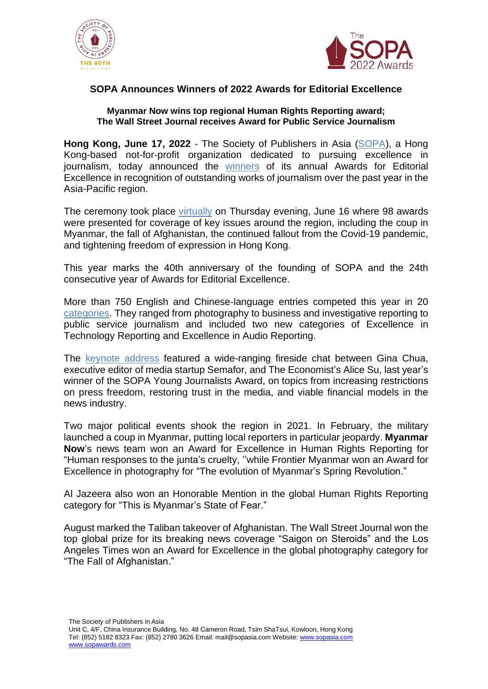



## **SOPA Announces Winners of 2022 Awards for Editorial Excellence**

## **Myanmar Now wins top regional Human Rights Reporting award; The Wall Street Journal receives Award for Public Service Journalism**

**Hong Kong, June 17, 2022** - The Society of Publishers in Asia [\(SOPA\)](https://sopasia.com/), a Hong Kong-based not-for-profit organization dedicated to pursuing excellence in journalism, today announced the [winners](https://sopawards.com/the-sopa-awards/awards-finalists/) of its annual Awards for Editorial Excellence in recognition of outstanding works of journalism over the past year in the Asia-Pacific region.

The ceremony took place [virtually](https://www.youtube.com/user/SOPAAsia/videos) on Thursday evening, June 16 where 98 awards were presented for coverage of key issues around the region, including the coup in Myanmar, the fall of Afghanistan, the continued fallout from the Covid-19 pandemic, and tightening freedom of expression in Hong Kong.

This year marks the 40th anniversary of the founding of SOPA and the 24th consecutive year of Awards for Editorial Excellence.

More than 750 English and Chinese-language entries competed this year in 20 [categories.](https://sopawards.com/the-sopa-awards/award-categories/) They ranged from photography to business and investigative reporting to public service journalism and included two new categories of Excellence in Technology Reporting and Excellence in Audio Reporting.

The keynote [address](https://sopawards.com/awards-ceremony/speakers/) featured a wide-ranging fireside chat between Gina Chua, executive editor of media startup Semafor, and The Economist's Alice Su, last year's winner of the SOPA Young Journalists Award, on topics from increasing restrictions on press freedom, restoring trust in the media, and viable financial models in the news industry.

Two major political events shook the region in 2021. In February, the military launched a coup in Myanmar, putting local reporters in particular jeopardy. **Myanmar Now**'s news team won an Award for Excellence in Human Rights Reporting for "Human responses to the junta's cruelty, ''while Frontier Myanmar won an Award for Excellence in photography for "The evolution of Myanmar's Spring Revolution."

Al Jazeera also won an Honorable Mention in the global Human Rights Reporting category for "This is Myanmar's State of Fear."

August marked the Taliban takeover of Afghanistan. The Wall Street Journal won the top global prize for its breaking news coverage "Saigon on Steroids" and the Los Angeles Times won an Award for Excellence in the global photography category for "The Fall of Afghanistan."

The Society of Publishers in Asia Unit C, 4/F, China Insurance Building, No. 48 Cameron Road, Tsim ShaTsui, Kowloon, Hong Kong Tel: (852) 5182 8323 Fax: (852) 2780 3626 Email: [mail@sopasia.com](mailto:mail@sopasia.com) Website: [www.sopasia.com](http://www.sopasia.com/) [www.sopawards.com](http://www.sopawards.com/)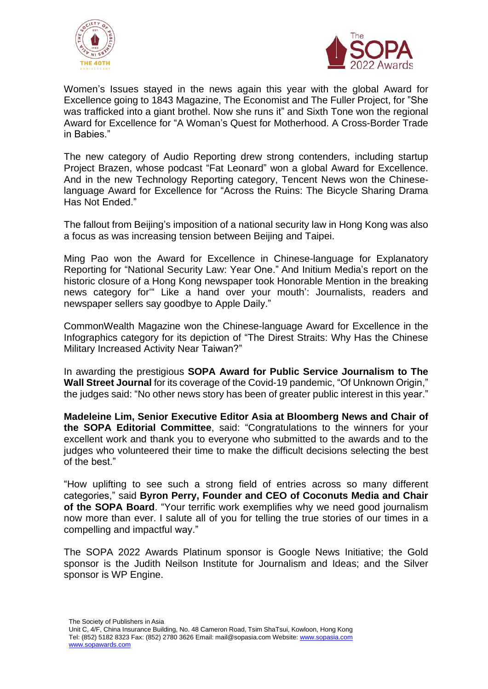



Women's Issues stayed in the news again this year with the global Award for Excellence going to 1843 Magazine, The Economist and The Fuller Project, for "She was trafficked into a giant brothel. Now she runs it" and Sixth Tone won the regional Award for Excellence for "A Woman's Quest for Motherhood. A Cross-Border Trade in Babies."

The new category of Audio Reporting drew strong contenders, including startup Project Brazen, whose podcast "Fat Leonard" won a global Award for Excellence. And in the new Technology Reporting category, Tencent News won the Chineselanguage Award for Excellence for "Across the Ruins: The Bicycle Sharing Drama Has Not Ended."

The fallout from Beijing's imposition of a national security law in Hong Kong was also a focus as was increasing tension between Beijing and Taipei.

Ming Pao won the Award for Excellence in Chinese-language for Explanatory Reporting for "National Security Law: Year One." And Initium Media's report on the historic closure of a Hong Kong newspaper took Honorable Mention in the breaking news category for'" Like a hand over your mouth': Journalists, readers and newspaper sellers say goodbye to Apple Daily."

CommonWealth Magazine won the Chinese-language Award for Excellence in the Infographics category for its depiction of "The Direst Straits: Why Has the Chinese Military Increased Activity Near Taiwan?"

In awarding the prestigious **SOPA Award for Public Service Journalism to The Wall Street Journal** for its coverage of the Covid-19 pandemic, "Of Unknown Origin," the judges said: "No other news story has been of greater public interest in this year."

**Madeleine Lim, Senior Executive Editor Asia at Bloomberg News and Chair of the SOPA Editorial Committee**, said: "Congratulations to the winners for your excellent work and thank you to everyone who submitted to the awards and to the judges who volunteered their time to make the difficult decisions selecting the best of the best."

"How uplifting to see such a strong field of entries across so many different categories," said **Byron Perry, Founder and CEO of Coconuts Media and Chair of the SOPA Board**. "Your terrific work exemplifies why we need good journalism now more than ever. I salute all of you for telling the true stories of our times in a compelling and impactful way."

The SOPA 2022 Awards Platinum sponsor is Google News Initiative; the Gold sponsor is the Judith Neilson Institute for Journalism and Ideas; and the Silver sponsor is WP Engine.